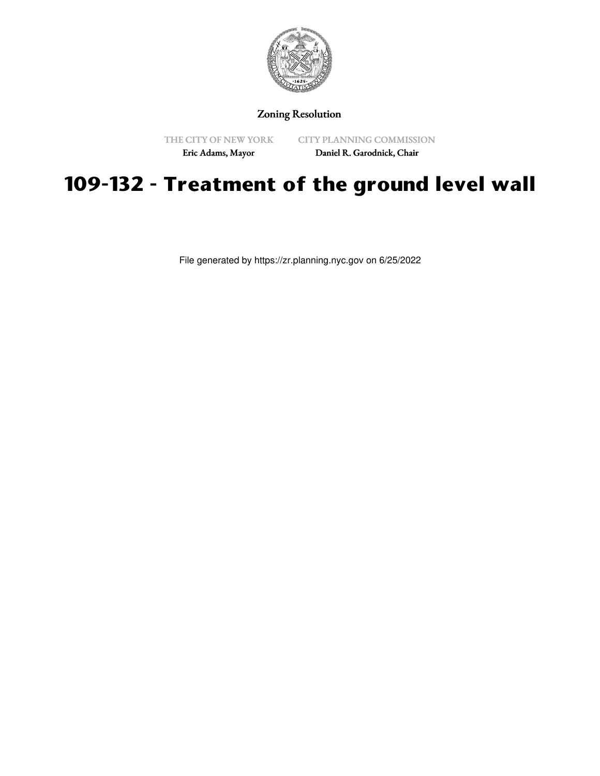

Zoning Resolution

THE CITY OF NEW YORK

CITY PLANNING COMMISSION Daniel R. Garodnick, Chair

## Eric Adams, Mayor

## **109-132 - Treatment of the ground level wall**

File generated by https://zr.planning.nyc.gov on 6/25/2022